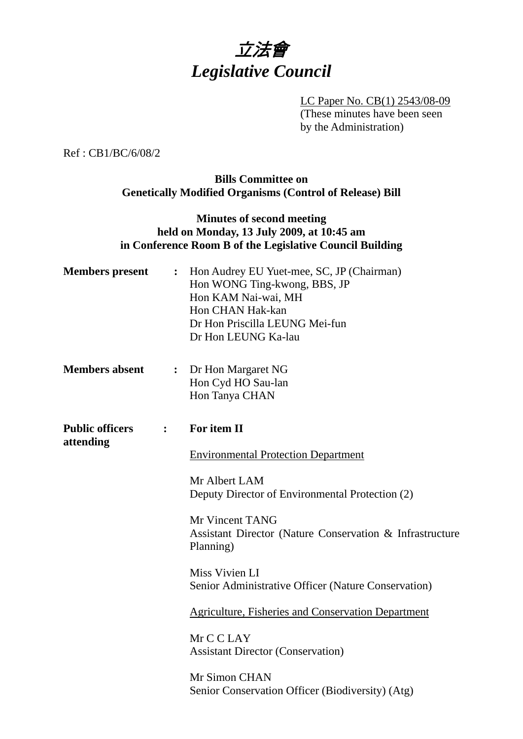

LC Paper No. CB(1) 2543/08-09 (These minutes have been seen by the Administration)

Ref : CB1/BC/6/08/2

## **Bills Committee on Genetically Modified Organisms (Control of Release) Bill**

# **Minutes of second meeting held on Monday, 13 July 2009, at 10:45 am in Conference Room B of the Legislative Council Building**

| <b>Members</b> present              | $\ddot{\cdot}$ | Hon Audrey EU Yuet-mee, SC, JP (Chairman)<br>Hon WONG Ting-kwong, BBS, JP<br>Hon KAM Nai-wai, MH<br>Hon CHAN Hak-kan<br>Dr Hon Priscilla LEUNG Mei-fun<br>Dr Hon LEUNG Ka-lau |
|-------------------------------------|----------------|-------------------------------------------------------------------------------------------------------------------------------------------------------------------------------|
| <b>Members absent</b>               | $\ddot{\cdot}$ | Dr Hon Margaret NG                                                                                                                                                            |
|                                     |                | Hon Cyd HO Sau-lan<br>Hon Tanya CHAN                                                                                                                                          |
| <b>Public officers</b><br>attending | $\mathbf{L}$   | For item II                                                                                                                                                                   |
|                                     |                | <b>Environmental Protection Department</b>                                                                                                                                    |
|                                     |                | Mr Albert LAM<br>Deputy Director of Environmental Protection (2)                                                                                                              |
|                                     |                | Mr Vincent TANG<br>Assistant Director (Nature Conservation & Infrastructure<br>Planning)                                                                                      |
|                                     |                | Miss Vivien LI<br>Senior Administrative Officer (Nature Conservation)                                                                                                         |
|                                     |                | <b>Agriculture, Fisheries and Conservation Department</b>                                                                                                                     |
|                                     |                | Mr C C LAY<br><b>Assistant Director (Conservation)</b>                                                                                                                        |
|                                     |                | Mr Simon CHAN                                                                                                                                                                 |
|                                     |                | Senior Conservation Officer (Biodiversity) (Atg)                                                                                                                              |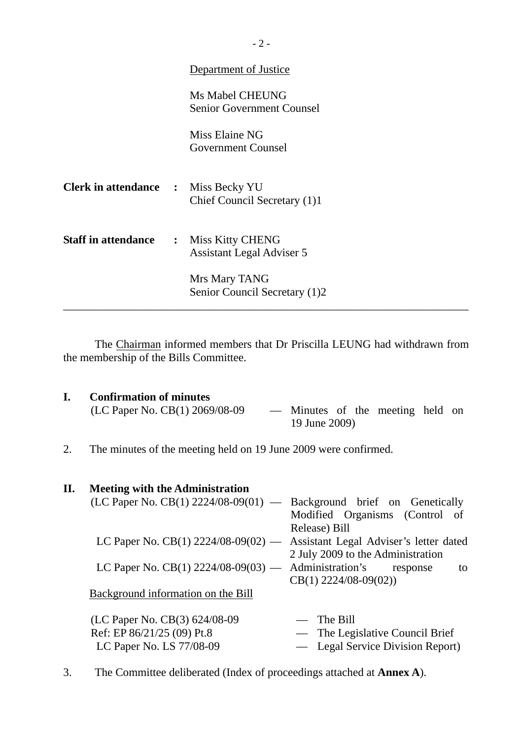|                                            |                                                        | Department of Justice                                      |  |
|--------------------------------------------|--------------------------------------------------------|------------------------------------------------------------|--|
|                                            |                                                        | <b>Ms Mabel CHEUNG</b><br><b>Senior Government Counsel</b> |  |
|                                            |                                                        | Miss Elaine NG<br><b>Government Counsel</b>                |  |
| <b>Clerk in attendance :</b> Miss Becky YU |                                                        | Chief Council Secretary (1)1                               |  |
| <b>Staff in attendance</b>                 | : Miss Kitty CHENG<br><b>Assistant Legal Adviser 5</b> |                                                            |  |
|                                            |                                                        | Mrs Mary TANG<br>Senior Council Secretary (1)2             |  |

 The Chairman informed members that Dr Priscilla LEUNG had withdrawn from the membership of the Bills Committee.

- **I.** Confirmation of minutes<br>(LC Paper No. CB(1) 2069/08-09 - Minutes of the meeting held on 19 June 2009)
- 2. The minutes of the meeting held on 19 June 2009 were confirmed.

| П. | <b>Meeting with the Administration</b>                                       |                                   |
|----|------------------------------------------------------------------------------|-----------------------------------|
|    | $(LC$ Paper No. $CB(1)$ 2224/08-09(01) — Background brief on Genetically     |                                   |
|    |                                                                              | Modified Organisms (Control of    |
|    |                                                                              | Release) Bill                     |
|    | LC Paper No. $CB(1)$ 2224/08-09(02) — Assistant Legal Adviser's letter dated |                                   |
|    |                                                                              | 2 July 2009 to the Administration |
|    | LC Paper No. $CB(1)$ 2224/08-09(03) — Administration's                       | response<br>to                    |
|    |                                                                              | $CB(1)$ 2224/08-09(02))           |
|    | Background information on the Bill                                           |                                   |
|    |                                                                              |                                   |
|    | (LC Paper No. CB(3) 624/08-09                                                | $-$ The Bill                      |
|    | Ref: EP 86/21/25 (09) Pt.8                                                   | — The Legislative Council Brief   |
|    | LC Paper No. LS 77/08-09                                                     | - Legal Service Division Report)  |

3. The Committee deliberated (Index of proceedings attached at **Annex A**).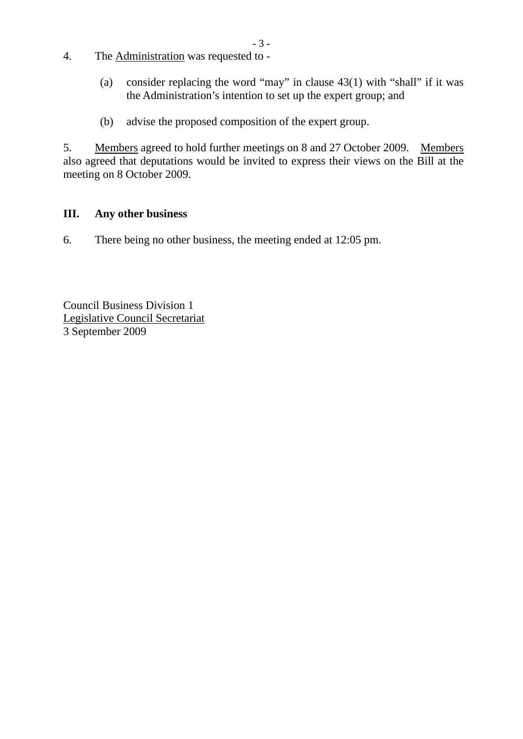- 4. The Administration was requested to
	- (a) consider replacing the word "may" in clause 43(1) with "shall" if it was the Administration's intention to set up the expert group; and
	- (b) advise the proposed composition of the expert group.

5. Members agreed to hold further meetings on 8 and 27 October 2009. Members also agreed that deputations would be invited to express their views on the Bill at the meeting on 8 October 2009.

- 3 -

## **III. Any other business**

6. There being no other business, the meeting ended at 12:05 pm.

Council Business Division 1 Legislative Council Secretariat 3 September 2009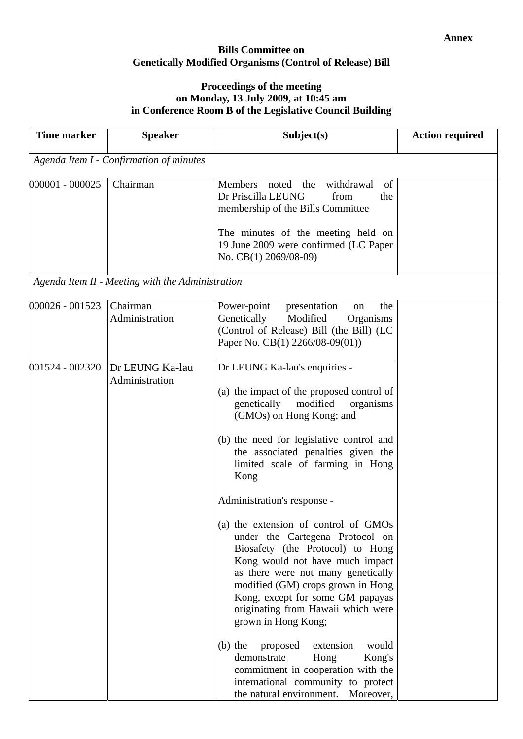### **Bills Committee on Genetically Modified Organisms (Control of Release) Bill**

### **Proceedings of the meeting on Monday, 13 July 2009, at 10:45 am in Conference Room B of the Legislative Council Building**

| <b>Time marker</b>                      | <b>Speaker</b>                                   | Subject(s)                                                                                                                                                                                                                                                                                                                                                                                                                                                                                                                                                                                                                                                                                                                                                                                            | <b>Action required</b> |  |
|-----------------------------------------|--------------------------------------------------|-------------------------------------------------------------------------------------------------------------------------------------------------------------------------------------------------------------------------------------------------------------------------------------------------------------------------------------------------------------------------------------------------------------------------------------------------------------------------------------------------------------------------------------------------------------------------------------------------------------------------------------------------------------------------------------------------------------------------------------------------------------------------------------------------------|------------------------|--|
| Agenda Item I - Confirmation of minutes |                                                  |                                                                                                                                                                                                                                                                                                                                                                                                                                                                                                                                                                                                                                                                                                                                                                                                       |                        |  |
| 000001 - 000025                         | Chairman                                         | <b>Members</b><br>noted<br>the<br>withdrawal<br>of<br>Dr Priscilla LEUNG<br>from<br>the<br>membership of the Bills Committee<br>The minutes of the meeting held on<br>19 June 2009 were confirmed (LC Paper<br>No. CB(1) 2069/08-09)                                                                                                                                                                                                                                                                                                                                                                                                                                                                                                                                                                  |                        |  |
|                                         | Agenda Item II - Meeting with the Administration |                                                                                                                                                                                                                                                                                                                                                                                                                                                                                                                                                                                                                                                                                                                                                                                                       |                        |  |
| 000026 - 001523                         | Chairman<br>Administration                       | Power-point<br>presentation<br>the<br>on<br>Genetically<br>Modified<br>Organisms<br>(Control of Release) Bill (the Bill) (LC<br>Paper No. CB(1) 2266/08-09(01))                                                                                                                                                                                                                                                                                                                                                                                                                                                                                                                                                                                                                                       |                        |  |
| 001524 - 002320                         | Dr LEUNG Ka-lau<br>Administration                | Dr LEUNG Ka-lau's enquiries -<br>(a) the impact of the proposed control of<br>genetically<br>modified<br>organisms<br>(GMOs) on Hong Kong; and<br>(b) the need for legislative control and<br>the associated penalties given the<br>limited scale of farming in Hong<br>Kong<br>Administration's response -<br>(a) the extension of control of GMOs<br>under the Cartegena Protocol on<br>Biosafety (the Protocol) to Hong<br>Kong would not have much impact<br>as there were not many genetically<br>modified (GM) crops grown in Hong<br>Kong, except for some GM papayas<br>originating from Hawaii which were<br>grown in Hong Kong;<br>$(b)$ the<br>proposed<br>extension<br>would<br>demonstrate<br>Hong<br>Kong's<br>commitment in cooperation with the<br>international community to protect |                        |  |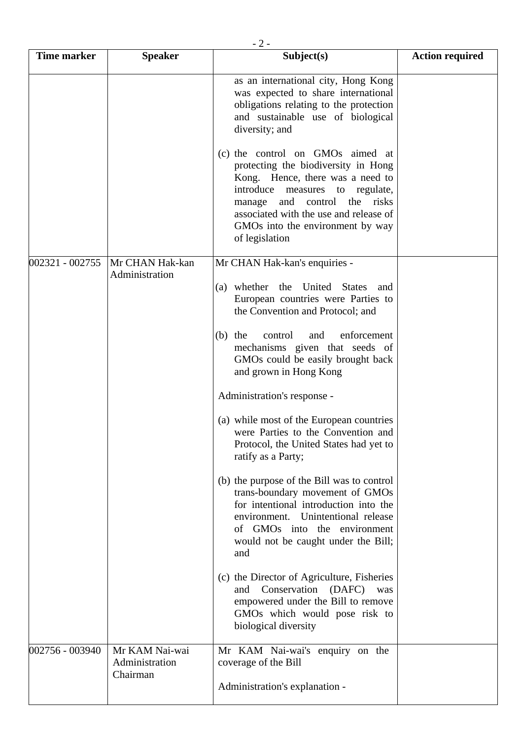| <b>Time marker</b> | <b>Speaker</b>                               | - 2 -<br>Subject(s)                                                                                                                                                                                                                                                                        | <b>Action required</b> |
|--------------------|----------------------------------------------|--------------------------------------------------------------------------------------------------------------------------------------------------------------------------------------------------------------------------------------------------------------------------------------------|------------------------|
|                    |                                              | as an international city, Hong Kong<br>was expected to share international<br>obligations relating to the protection<br>and sustainable use of biological<br>diversity; and                                                                                                                |                        |
|                    |                                              | (c) the control on GMOs aimed at<br>protecting the biodiversity in Hong<br>Kong. Hence, there was a need to<br>introduce measures to regulate,<br>the<br>and<br>control<br>risks<br>manage<br>associated with the use and release of<br>GMOs into the environment by way<br>of legislation |                        |
| 002321 - 002755    | Mr CHAN Hak-kan<br>Administration            | Mr CHAN Hak-kan's enquiries -                                                                                                                                                                                                                                                              |                        |
|                    |                                              | (a) whether<br>United<br>the<br><b>States</b><br>and<br>European countries were Parties to<br>the Convention and Protocol; and                                                                                                                                                             |                        |
|                    |                                              | enforcement<br>the<br>control<br>and<br>(b)<br>mechanisms given that seeds of<br>GMOs could be easily brought back<br>and grown in Hong Kong                                                                                                                                               |                        |
|                    |                                              | Administration's response -                                                                                                                                                                                                                                                                |                        |
|                    |                                              | (a) while most of the European countries<br>were Parties to the Convention and<br>Protocol, the United States had yet to<br>ratify as a Party;                                                                                                                                             |                        |
|                    |                                              | (b) the purpose of the Bill was to control<br>trans-boundary movement of GMOs<br>for intentional introduction into the<br>environment. Unintentional release<br>of GMOs into the environment<br>would not be caught under the Bill;<br>and                                                 |                        |
|                    |                                              | (c) the Director of Agriculture, Fisheries<br>Conservation (DAFC)<br>and<br>was<br>empowered under the Bill to remove<br>GMOs which would pose risk to<br>biological diversity                                                                                                             |                        |
| 002756 - 003940    | Mr KAM Nai-wai<br>Administration<br>Chairman | Mr KAM Nai-wai's enquiry on the<br>coverage of the Bill                                                                                                                                                                                                                                    |                        |
|                    |                                              | Administration's explanation -                                                                                                                                                                                                                                                             |                        |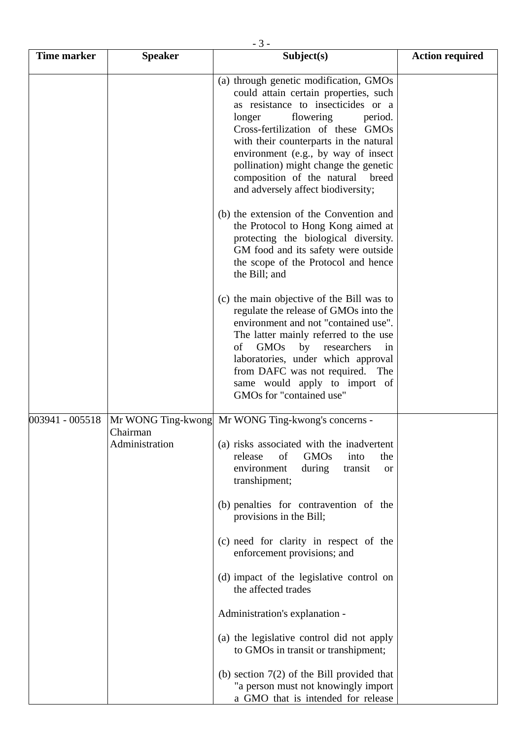| <b>Time marker</b> | <b>Speaker</b>             | - J -<br>Subject(s)                                                                                                                                                                                                                                                                                                                                                                                 | <b>Action required</b> |
|--------------------|----------------------------|-----------------------------------------------------------------------------------------------------------------------------------------------------------------------------------------------------------------------------------------------------------------------------------------------------------------------------------------------------------------------------------------------------|------------------------|
|                    |                            | (a) through genetic modification, GMOs<br>could attain certain properties, such<br>as resistance to insecticides or a<br>flowering<br>longer<br>period.<br>Cross-fertilization of these GMOs<br>with their counterparts in the natural<br>environment (e.g., by way of insect<br>pollination) might change the genetic<br>composition of the natural<br>breed<br>and adversely affect biodiversity; |                        |
|                    |                            | (b) the extension of the Convention and<br>the Protocol to Hong Kong aimed at<br>protecting the biological diversity.<br>GM food and its safety were outside<br>the scope of the Protocol and hence<br>the Bill; and                                                                                                                                                                                |                        |
|                    |                            | (c) the main objective of the Bill was to<br>regulate the release of GMOs into the<br>environment and not "contained use".<br>The latter mainly referred to the use<br><b>GMOs</b><br>by<br>οf<br>researchers<br>in<br>laboratories, under which approval<br>from DAFC was not required.<br>The<br>same would apply to import of<br>GMOs for "contained use"                                        |                        |
| 003941 - 005518    | Chairman<br>Administration | Mr WONG Ting-kwong Mr WONG Ting-kwong's concerns -<br>(a) risks associated with the inadvertent<br>release<br><b>GMOs</b><br>of<br>into<br>the<br>environment<br>during<br>transit<br><b>or</b><br>transhipment;<br>(b) penalties for contravention of the                                                                                                                                          |                        |
|                    |                            | provisions in the Bill;<br>(c) need for clarity in respect of the<br>enforcement provisions; and                                                                                                                                                                                                                                                                                                    |                        |
|                    |                            | (d) impact of the legislative control on<br>the affected trades                                                                                                                                                                                                                                                                                                                                     |                        |
|                    |                            | Administration's explanation -                                                                                                                                                                                                                                                                                                                                                                      |                        |
|                    |                            | (a) the legislative control did not apply<br>to GMOs in transit or transhipment;                                                                                                                                                                                                                                                                                                                    |                        |
|                    |                            | (b) section $7(2)$ of the Bill provided that<br>"a person must not knowingly import<br>a GMO that is intended for release                                                                                                                                                                                                                                                                           |                        |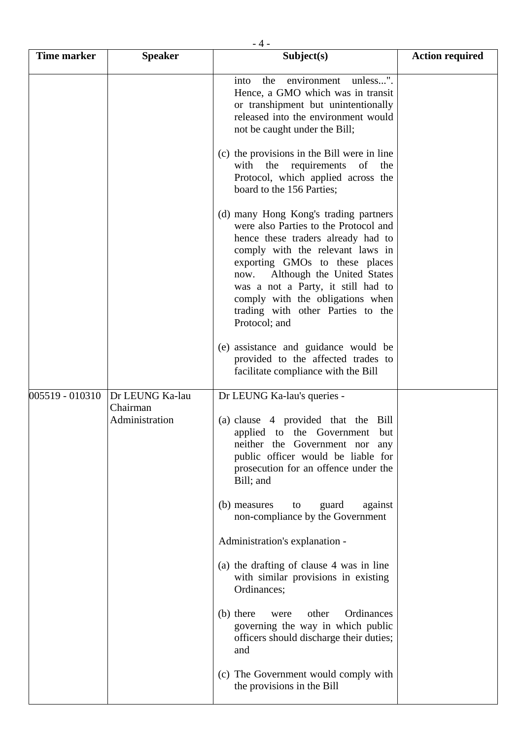| Time marker     | <b>Speaker</b>                                | - 4 -<br>Subject(s)                                                                                                                                                                                                                                                                                                                                              | <b>Action required</b> |
|-----------------|-----------------------------------------------|------------------------------------------------------------------------------------------------------------------------------------------------------------------------------------------------------------------------------------------------------------------------------------------------------------------------------------------------------------------|------------------------|
|                 |                                               | unless".<br>environment<br>the<br>into<br>Hence, a GMO which was in transit<br>or transhipment but unintentionally<br>released into the environment would<br>not be caught under the Bill;                                                                                                                                                                       |                        |
|                 |                                               | (c) the provisions in the Bill were in line<br>with the requirements<br>of the<br>Protocol, which applied across the<br>board to the 156 Parties;                                                                                                                                                                                                                |                        |
|                 |                                               | (d) many Hong Kong's trading partners<br>were also Parties to the Protocol and<br>hence these traders already had to<br>comply with the relevant laws in<br>exporting GMOs to these places<br>Although the United States<br>now.<br>was a not a Party, it still had to<br>comply with the obligations when<br>trading with other Parties to the<br>Protocol; and |                        |
|                 |                                               | (e) assistance and guidance would be<br>provided to the affected trades to<br>facilitate compliance with the Bill                                                                                                                                                                                                                                                |                        |
| 005519 - 010310 | Dr LEUNG Ka-lau<br>Chairman<br>Administration | Dr LEUNG Ka-lau's queries -<br>(a) clause 4 provided that the<br>Bill<br>applied to the Government<br>but<br>neither the Government nor any<br>public officer would be liable for<br>prosecution for an offence under the<br>Bill; and                                                                                                                           |                        |
|                 |                                               | (b) measures<br>guard<br>to<br>against<br>non-compliance by the Government                                                                                                                                                                                                                                                                                       |                        |
|                 |                                               | Administration's explanation -                                                                                                                                                                                                                                                                                                                                   |                        |
|                 |                                               | (a) the drafting of clause 4 was in line<br>with similar provisions in existing<br>Ordinances;                                                                                                                                                                                                                                                                   |                        |
|                 |                                               | Ordinances<br>(b) there<br>other<br>were<br>governing the way in which public<br>officers should discharge their duties;<br>and                                                                                                                                                                                                                                  |                        |
|                 |                                               | (c) The Government would comply with<br>the provisions in the Bill                                                                                                                                                                                                                                                                                               |                        |